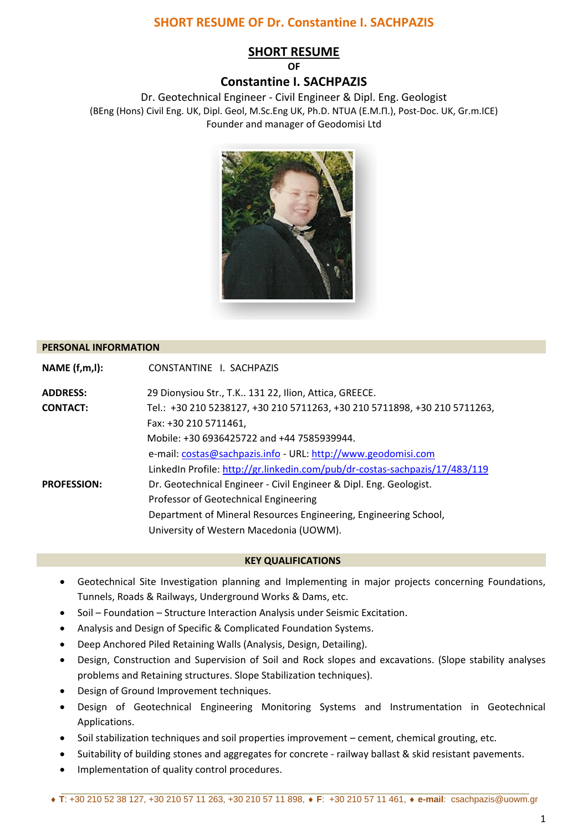# **SHORT RESUME OF**

# **Constantine I. SACHPAZIS**

Dr. Geotechnical Engineer - Civil Engineer & Dipl. Eng. Geologist (BEng (Hons) Civil Eng. UK, Dipl. Geol, M.Sc.Eng UK, Ph.D. NTUA (E.M.Π.), Post-Doc. UK, Gr.m.ICE) Founder and manager of Geodomisi Ltd



### **PERSONAL INFORMATION**

| NAME(f,m,l):       | CONSTANTINE I. SACHPAZIS                                                    |
|--------------------|-----------------------------------------------------------------------------|
| <b>ADDRESS:</b>    | 29 Dionysiou Str., T.K 131 22, Ilion, Attica, GREECE.                       |
| <b>CONTACT:</b>    | Tel.: +30 210 5238127, +30 210 5711263, +30 210 5711898, +30 210 5711263,   |
|                    | Fax: +30 210 5711461,                                                       |
|                    | Mobile: +30 6936425722 and +44 7585939944.                                  |
|                    | e-mail: costas@sachpazis.info - URL: http://www.geodomisi.com               |
|                    | LinkedIn Profile: http://gr.linkedin.com/pub/dr-costas-sachpazis/17/483/119 |
| <b>PROFESSION:</b> | Dr. Geotechnical Engineer - Civil Engineer & Dipl. Eng. Geologist.          |
|                    | Professor of Geotechnical Engineering                                       |
|                    | Department of Mineral Resources Engineering, Engineering School,            |
|                    | University of Western Macedonia (UOWM).                                     |

### **KEY QUALIFICATIONS**

- Geotechnical Site Investigation planning and Implementing in major projects concerning Foundations, Tunnels, Roads & Railways, Underground Works & Dams, etc.
- Soil Foundation Structure Interaction Analysis under Seismic Excitation.
- Analysis and Design of Specific & Complicated Foundation Systems.
- Deep Anchored Piled Retaining Walls (Analysis, Design, Detailing).
- Design, Construction and Supervision of Soil and Rock slopes and excavations. (Slope stability analyses problems and Retaining structures. Slope Stabilization techniques).
- Design of Ground Improvement techniques.
- Design of Geotechnical Engineering Monitoring Systems and Instrumentation in Geotechnical Applications.
- Soil stabilization techniques and soil properties improvement cement, chemical grouting, etc.
- Suitability of building stones and aggregates for concrete railway ballast & skid resistant pavements.
- Implementation of quality control procedures.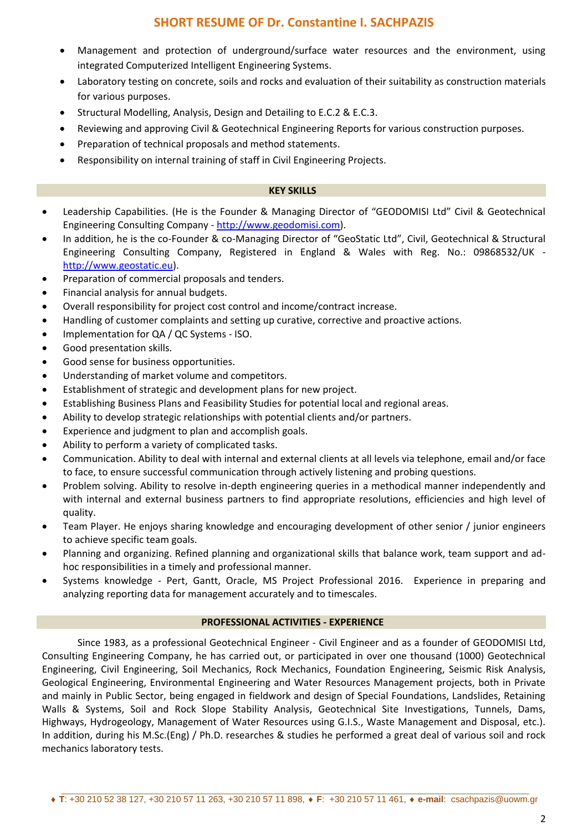- Management and protection of underground/surface water resources and the environment, using integrated Computerized Intelligent Engineering Systems.
- Laboratory testing on concrete, soils and rocks and evaluation of their suitability as construction materials for various purposes.
- Structural Modelling, Analysis, Design and Detailing to E.C.2 & E.C.3.
- Reviewing and approving Civil & Geotechnical Engineering Reports for various construction purposes.
- Preparation of technical proposals and method statements.
- Responsibility on internal training of staff in Civil Engineering Projects.

### **KEY SKILLS**

- Leadership Capabilities. (He is the Founder & Managing Director of "GEODOMISI Ltd" Civil & Geotechnical Engineering Consulting Company - [http://www.geodomisi.com\)](http://www.geodomisi.com/).
- In addition, he is the co-Founder & co-Managing Director of "GeoStatic Ltd", Civil, Geotechnical & Structural Engineering Consulting Company, Registered in England & Wales with Reg. No.: 09868532/UK [http://www.geostatic.eu\)](http://www.geostatic.eu/).
- Preparation of commercial proposals and tenders.
- Financial analysis for annual budgets.
- Overall responsibility for project cost control and income/contract increase.
- Handling of customer complaints and setting up curative, corrective and proactive actions.
- Implementation for QA / QC Systems ISO.
- Good presentation skills.
- Good sense for business opportunities.
- Understanding of market volume and competitors.
- Establishment of strategic and development plans for new project.
- Establishing Business Plans and Feasibility Studies for potential local and regional areas.
- Ability to develop strategic relationships with potential clients and/or partners.
- Experience and judgment to plan and accomplish goals.
- Ability to perform a variety of complicated tasks.
- Communication. Ability to deal with internal and external clients at all levels via telephone, email and/or face to face, to ensure successful communication through actively listening and probing questions.
- Problem solving. Ability to resolve in-depth engineering queries in a methodical manner independently and with internal and external business partners to find appropriate resolutions, efficiencies and high level of quality.
- Team Player. He enjoys sharing knowledge and encouraging development of other senior / junior engineers to achieve specific team goals.
- Planning and organizing. Refined planning and organizational skills that balance work, team support and adhoc responsibilities in a timely and professional manner.
- Systems knowledge Pert, Gantt, Oracle, MS Project Professional 2016. Experience in preparing and analyzing reporting data for management accurately and to timescales.

# **PROFESSIONAL ACTIVITIES - EXPERIENCE**

Since 1983, as a professional Geotechnical Engineer - Civil Engineer and as a founder of GEODOMISI Ltd, Consulting Engineering Company, he has carried out, or participated in over one thousand (1000) Geotechnical Engineering, Civil Engineering, Soil Mechanics, Rock Mechanics, Foundation Engineering, Seismic Risk Analysis, Geological Engineering, Environmental Engineering and Water Resources Management projects, both in Private and mainly in Public Sector, being engaged in fieldwork and design of Special Foundations, Landslides, Retaining Walls & Systems, Soil and Rock Slope Stability Analysis, Geotechnical Site Investigations, Tunnels, Dams, Highways, Hydrogeology, Management of Water Resources using G.I.S., Waste Management and Disposal, etc.). In addition, during his M.Sc.(Eng) / Ph.D. researches & studies he performed a great deal of various soil and rock mechanics laboratory tests.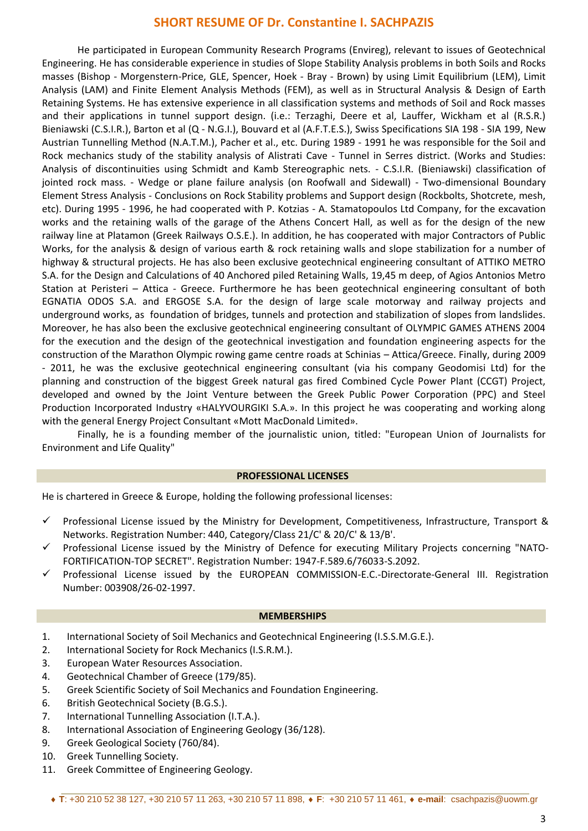He participated in European Community Research Programs (Envireg), relevant to issues of Geotechnical Engineering. He has considerable experience in studies of Slope Stability Analysis problems in both Soils and Rocks masses (Bishop - Morgenstern-Price, GLE, Spencer, Hoek - Bray - Brown) by using Limit Equilibrium (LEM), Limit Analysis (LAM) and Finite Element Analysis Methods (FEM), as well as in Structural Analysis & Design of Earth Retaining Systems. He has extensive experience in all classification systems and methods of Soil and Rock masses and their applications in tunnel support design. (i.e.: Terzaghi, Deere et al, Lauffer, Wickham et al (R.S.R.) Bieniawski (C.S.I.R.), Barton et al (Q - N.G.I.), Bouvard et al (A.F.T.E.S.), Swiss Specifications SIA 198 - SIA 199, New Austrian Tunnelling Method (N.A.T.M.), Pacher et al., etc. During 1989 - 1991 he was responsible for the Soil and Rock mechanics study of the stability analysis of Alistrati Cave - Tunnel in Serres district. (Works and Studies: Analysis of discontinuities using Schmidt and Kamb Stereographic nets. - C.S.I.R. (Bieniawski) classification of jointed rock mass. - Wedge or plane failure analysis (on Roofwall and Sidewall) - Two-dimensional Boundary Element Stress Analysis - Conclusions on Rock Stability problems and Support design (Rockbolts, Shotcrete, mesh, etc). During 1995 - 1996, he had cooperated with P. Kotzias - A. Stamatopoulos Ltd Company, for the excavation works and the retaining walls of the garage of the Athens Concert Hall, as well as for the design of the new railway line at Platamon (Greek Railways O.S.E.). In addition, he has cooperated with major Contractors of Public Works, for the analysis & design of various earth & rock retaining walls and slope stabilization for a number of highway & structural projects. He has also been exclusive geotechnical engineering consultant of ATTIKO METRO S.A. for the Design and Calculations of 40 Anchored piled Retaining Walls, 19,45 m deep, of Agios Antonios Metro Station at Peristeri – Attica - Greece. Furthermore he has been geotechnical engineering consultant of both EGNATIA ODOS S.A. and ERGOSE S.A. for the design of large scale motorway and railway projects and underground works, as foundation of bridges, tunnels and protection and stabilization of slopes from landslides. Moreover, he has also been the exclusive geotechnical engineering consultant of OLYMPIC GAMES ATHENS 2004 for the execution and the design of the geotechnical investigation and foundation engineering aspects for the construction of the Marathon Olympic rowing game centre roads at Schinias – Attica/Greece. Finally, during 2009 - 2011, he was the exclusive geotechnical engineering consultant (via his company Geodomisi Ltd) for the planning and construction of the biggest Greek natural gas fired Combined Cycle Power Plant (CCGT) Project, developed and owned by the Joint Venture between the Greek Public Power Corporation (PPC) and Steel Production Incorporated Industry «HALYVOURGIKI S.A.». In this project he was cooperating and working along with the general Energy Project Consultant «Mott MacDonald Limited».

Finally, he is a founding member of the journalistic union, titled: "European Union of Journalists for Environment and Life Quality"

### **PROFESSIONAL LICENSES**

He is chartered in Greece & Europe, holding the following professional licenses:

- $\checkmark$  Professional License issued by the Ministry for Development, Competitiveness, Infrastructure, Transport & Networks. Registration Number: 440, Category/Class 21/C' & 20/C' & 13/B'.
- $\checkmark$  Professional License issued by the Ministry of Defence for executing Military Projects concerning "NATO-FORTIFICATION-TOP SECRET". Registration Number: 1947-F.589.6/76033-S.2092.
- Professional License issued by the EUROPEAN COMMISSION-E.C.-Directorate-General III. Registration Number: 003908/26-02-1997.

#### **MEMBERSHIPS**

- 1. International Society of Soil Mechanics and Geotechnical Engineering (I.S.S.M.G.E.).
- 2. International Society for Rock Mechanics (I.S.R.M.).
- 3. European Water Resources Association.
- 4. Geotechnical Chamber of Greece (179/85).
- 5. Greek Scientific Society of Soil Mechanics and Foundation Engineering.
- 6. British Geotechnical Society (B.G.S.).
- 7. International Tunnelling Association (I.T.A.).
- 8. International Association of Engineering Geology (36/128).
- 9. Greek Geological Society (760/84).
- 10. Greek Tunnelling Society.
- 11. Greek Committee of Engineering Geology.

#### **T**: +30 210 52 38 127, +30 210 57 11 263, +30 210 57 11 898, **F**: +30 210 57 11 461, **e-mail**: csachpazis@uowm.gr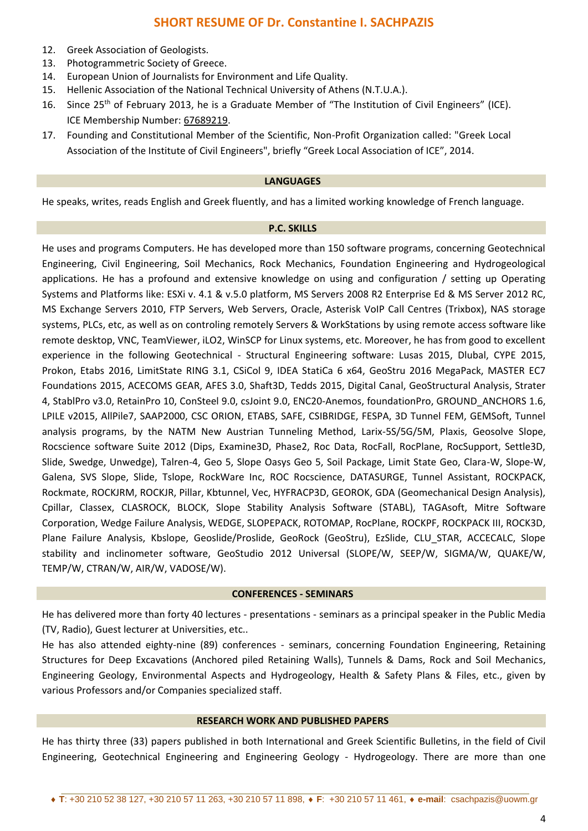- 12. Greek Association of Geologists.
- 13. Photogrammetric Society of Greece.
- 14. European Union of Journalists for Environment and Life Quality.
- 15. Hellenic Association of the National Technical University of Athens (N.T.U.A.).
- 16. Since 25th of February 2013, he is a Graduate Member of "The Institution of Civil Engineers" (ICE). ICE Membership Number: 67689219.
- 17. Founding and Constitutional Member of the Scientific, Non-Profit Organization called: "Greek Local Association of the Institute of Civil Engineers", briefly "Greek Local Association of ICE", 2014.

#### **LANGUAGES**

He speaks, writes, reads English and Greek fluently, and has a limited working knowledge of French language.

### **P.C. SKILLS**

He uses and programs Computers. He has developed more than 150 software programs, concerning Geotechnical Engineering, Civil Engineering, Soil Mechanics, Rock Mechanics, Foundation Engineering and Hydrogeological applications. He has a profound and extensive knowledge on using and configuration / setting up Operating Systems and Platforms like: ESXi v. 4.1 & v.5.0 platform, MS Servers 2008 R2 Enterprise Ed & MS Server 2012 RC, MS Exchange Servers 2010, FTP Servers, Web Servers, Oracle, Asterisk VoIP Call Centres (Trixbox), NAS storage systems, PLCs, etc, as well as on controling remotely Servers & WorkStations by using remote access software like remote desktop, VNC, TeamViewer, iLO2, WinSCP for Linux systems, etc. Moreover, he has from good to excellent experience in the following Geotechnical - Structural Engineering software: Lusas 2015, Dlubal, CYPE 2015, Prokon, Etabs 2016, LimitState RING 3.1, CSiCol 9, IDEA StatiCa 6 x64, GeoStru 2016 MegaPack, MASTER EC7 Foundations 2015, ACECOMS GEAR, AFES 3.0, Shaft3D, Tedds 2015, Digital Canal, GeoStructural Analysis, Strater 4, StablPro v3.0, RetainPro 10, ConSteel 9.0, csJoint 9.0, ENC20-Anemos, foundationPro, GROUND\_ANCHORS 1.6, LPILE v2015, AllPile7, SAAP2000, CSC ORION, ETABS, SAFE, CSIBRIDGE, FESPA, 3D Tunnel FEM, GEMSoft, Tunnel analysis programs, by the NATM New Austrian Tunneling Method, Larix-5S/5G/5M, Plaxis, Geosolve Slope, Rocscience software Suite 2012 (Dips, Examine3D, Phase2, Roc Data, RocFall, RocPlane, RocSupport, Settle3D, Slide, Swedge, Unwedge), Talren-4, Geo 5, Slope Oasys Geo 5, Soil Package, Limit State Geo, Clara-W, Slope-W, Galena, SVS Slope, Slide, Tslope, RockWare Inc, ROC Rocscience, DATASURGE, Tunnel Assistant, ROCKPACK, Rockmate, ROCKJRM, ROCKJR, Pillar, Kbtunnel, Vec, HYFRACP3D, GEOROK, GDA (Geomechanical Design Analysis), Cpillar, Classex, CLASROCK, BLOCK, Slope Stability Analysis Software (STABL), TAGAsoft, Mitre Software Corporation, Wedge Failure Analysis, WEDGE, SLOPEPACK, ROTOMAP, RocPlane, ROCKPF, ROCKPACK III, ROCK3D, Plane Failure Analysis, Kbslope, Geoslide/Proslide, GeoRock (GeoStru), EzSlide, CLU\_STAR, ACCECALC, Slope stability and inclinometer software, GeoStudio 2012 Universal (SLOPE/W, SEEP/W, SIGMA/W, QUAKE/W, TEMP/W, CTRAN/W, AIR/W, VADOSE/W).

### **CONFERENCES - SEMINARS**

He has delivered more than forty 40 lectures - presentations - seminars as a principal speaker in the Public Media (TV, Radio), Guest lecturer at Universities, etc..

He has also attended eighty-nine (89) conferences - seminars, concerning Foundation Engineering, Retaining Structures for Deep Excavations (Anchored piled Retaining Walls), Tunnels & Dams, Rock and Soil Mechanics, Engineering Geology, Environmental Aspects and Hydrogeology, Health & Safety Plans & Files, etc., given by various Professors and/or Companies specialized staff.

### **RESEARCH WORK AND PUBLISHED PAPERS**

He has thirty three (33) papers published in both International and Greek Scientific Bulletins, in the field of Civil Engineering, Geotechnical Engineering and Engineering Geology - Hydrogeology. There are more than one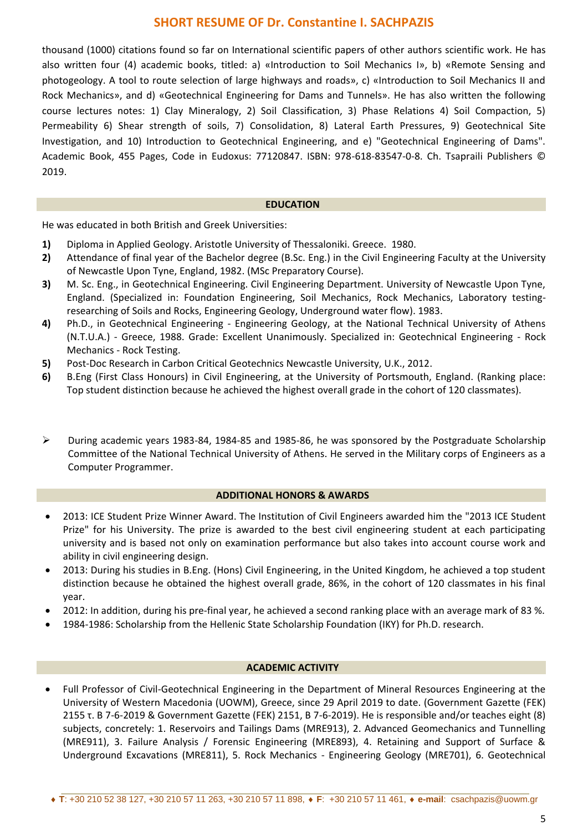thousand (1000) citations found so far on International scientific papers of other authors scientific work. He has also written four (4) academic books, titled: a) «Introduction to Soil Mechanics I», b) «Remote Sensing and photogeology. A tool to route selection of large highways and roads», c) «Introduction to Soil Mechanics II and Rock Mechanics», and d) «Geotechnical Engineering for Dams and Tunnels». He has also written the following course lectures notes: 1) Clay Mineralogy, 2) Soil Classification, 3) Phase Relations 4) Soil Compaction, 5) Permeability 6) Shear strength of soils, 7) Consolidation, 8) Lateral Earth Pressures, 9) Geotechnical Site Investigation, and 10) Introduction to Geotechnical Engineering, and e) "Geotechnical Engineering of Dams". Academic Book, 455 Pages, Code in Eudoxus: 77120847. ISBN: 978-618-83547-0-8. Ch. Tsapraili Publishers © 2019.

### **EDUCATION**

He was educated in both British and Greek Universities:

- **1)** Diploma in Applied Geology. Aristotle University of Thessaloniki. Greece. 1980.
- **2)** Attendance of final year of the Bachelor degree (B.Sc. Eng.) in the Civil Engineering Faculty at the University of Newcastle Upon Tyne, England, 1982. (MSc Preparatory Course).
- **3)** M. Sc. Eng., in Geotechnical Engineering. Civil Engineering Department. University of Newcastle Upon Tyne, England. (Specialized in: Foundation Engineering, Soil Mechanics, Rock Mechanics, Laboratory testingresearching of Soils and Rocks, Engineering Geology, Underground water flow). 1983.
- **4)** Ph.D., in Geotechnical Engineering Engineering Geology, at the National Technical University of Athens (N.T.U.A.) - Greece, 1988. Grade: Excellent Unanimously. Specialized in: Geotechnical Engineering - Rock Mechanics - Rock Testing.
- **5)** Post-Doc Research in Carbon Critical Geotechnics Newcastle University, U.K., 2012.
- **6)** B.Eng (First Class Honours) in Civil Engineering, at the University of Portsmouth, England. (Ranking place: Top student distinction because he achieved the highest overall grade in the cohort of 120 classmates).
- During academic years 1983-84, 1984-85 and 1985-86, he was sponsored by the Postgraduate Scholarship Committee of the National Technical University of Athens. He served in the Military corps of Engineers as a Computer Programmer.

#### **ADDITIONAL HONORS & AWARDS**

- 2013: ICE Student Prize Winner Award. The Institution of Civil Engineers awarded him the "2013 ICE Student Prize" for his University. The prize is awarded to the best civil engineering student at each participating university and is based not only on examination performance but also takes into account course work and ability in civil engineering design.
- 2013: During his studies in B.Eng. (Hons) Civil Engineering, in the United Kingdom, he achieved a top student distinction because he obtained the highest overall grade, 86%, in the cohort of 120 classmates in his final year.
- 2012: In addition, during his pre-final year, he achieved a second ranking place with an average mark of 83 %.
- 1984-1986: Scholarship from the Hellenic State Scholarship Foundation (IKY) for Ph.D. research.

### **ACADEMIC ACTIVITY**

 Full Professor of Civil-Geotechnical Engineering in the Department of Mineral Resources Engineering at the University of Western Macedonia (UOWM), Greece, since 29 April 2019 to date. (Government Gazette (FEK) 2155 τ. Β 7-6-2019 & Government Gazette (FEK) 2151, B 7-6-2019). He is responsible and/or teaches eight (8) subjects, concretely: 1. Reservoirs and Tailings Dams (MRE913), 2. Advanced Geomechanics and Tunnelling (MRE911), 3. Failure Analysis / Forensic Engineering (MRE893), 4. Retaining and Support of Surface & Underground Excavations (MRE811), 5. Rock Mechanics - Engineering Geology (MRE701), 6. Geotechnical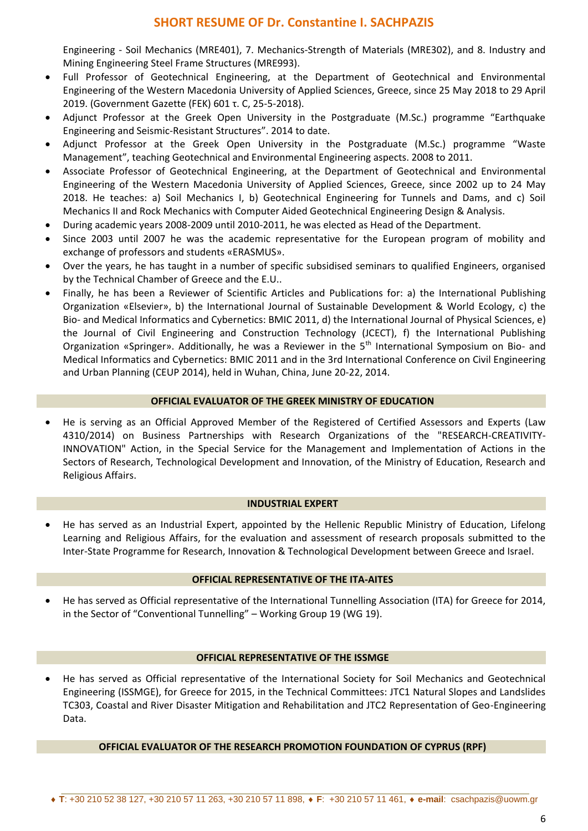Engineering - Soil Mechanics (MRE401), 7. Mechanics-Strength of Materials (MRE302), and 8. Industry and Mining Engineering Steel Frame Structures (MRE993).

- Full Professor of Geotechnical Engineering, at the Department of Geotechnical and Environmental Engineering of the Western Macedonia University of Applied Sciences, Greece, since 25 May 2018 to 29 April 2019. (Government Gazette (FEK) 601 τ. C, 25-5-2018).
- Adjunct Professor at the Greek Open University in the Postgraduate (M.Sc.) programme "Earthquake Engineering and Seismic-Resistant Structures". 2014 to date.
- Adjunct Professor at the Greek Open University in the Postgraduate (M.Sc.) programme "Waste Management", teaching Geotechnical and Environmental Engineering aspects. 2008 to 2011.
- Associate Professor of Geotechnical Engineering, at the Department of Geotechnical and Environmental Engineering of the Western Macedonia University of Applied Sciences, Greece, since 2002 up to 24 May 2018. He teaches: a) Soil Mechanics I, b) Geotechnical Engineering for Tunnels and Dams, and c) Soil Mechanics II and Rock Mechanics with Computer Aided Geotechnical Engineering Design & Analysis.
- During academic years 2008-2009 until 2010-2011, he was elected as Head of the Department.
- Since 2003 until 2007 he was the academic representative for the European program of mobility and exchange of professors and students «ERASMUS».
- Over the years, he has taught in a number of specific subsidised seminars to qualified Engineers, organised by the Technical Chamber of Greece and the E.U..
- Finally, he has been a Reviewer of Scientific Articles and Publications for: a) the International Publishing Organization «Elsevier», b) the International Journal of Sustainable Development & World Ecology, c) the Bio- and Medical Informatics and Cybernetics: BMIC 2011, d) the International Journal of Physical Sciences, e) the Journal of Civil Engineering and Construction Technology (JCECT), f) the International Publishing Organization «Springer». Additionally, he was a Reviewer in the 5<sup>th</sup> International Symposium on Bio- and Medical Informatics and Cybernetics: BMIC 2011 and in the 3rd International Conference on Civil Engineering and Urban Planning (CEUP 2014), held in Wuhan, China, June 20-22, 2014.

### **OFFICIAL EVALUATOR OF THE GREEK MINISTRY OF EDUCATION**

 He is serving as an Official Approved Member of the Registered of Certified Assessors and Experts (Law 4310/2014) on Business Partnerships with Research Organizations of the "RESEARCH-CREATIVITY-INNOVATION" Action, in the Special Service for the Management and Implementation of Actions in the Sectors of Research, Technological Development and Innovation, of the Ministry of Education, Research and Religious Affairs.

#### **INDUSTRIAL EXPERT**

 He has served as an Industrial Expert, appointed by the Hellenic Republic Ministry of Education, Lifelong Learning and Religious Affairs, for the evaluation and assessment of research proposals submitted to the Inter-State Programme for Research, Innovation & Technological Development between Greece and Israel.

#### **OFFICIAL REPRESENTATIVE OF THE ITA-AITES**

 He has served as Official representative of the International Tunnelling Association (ITA) for Greece for 2014, in the Sector of "Conventional Tunnelling" – Working Group 19 (WG 19).

### **OFFICIAL REPRESENTATIVE OF THE ISSMGE**

 He has served as Official representative of the International Society for Soil Mechanics and Geotechnical Engineering (ISSMGE), for Greece for 2015, in the Technical Committees: JTC1 Natural Slopes and Landslides TC303, Coastal and River Disaster Mitigation and Rehabilitation and JTC2 Representation of Geo-Engineering Data.

### **OFFICIAL EVALUATOR OF THE RESEARCH PROMOTION FOUNDATION OF CYPRUS (RPF)**